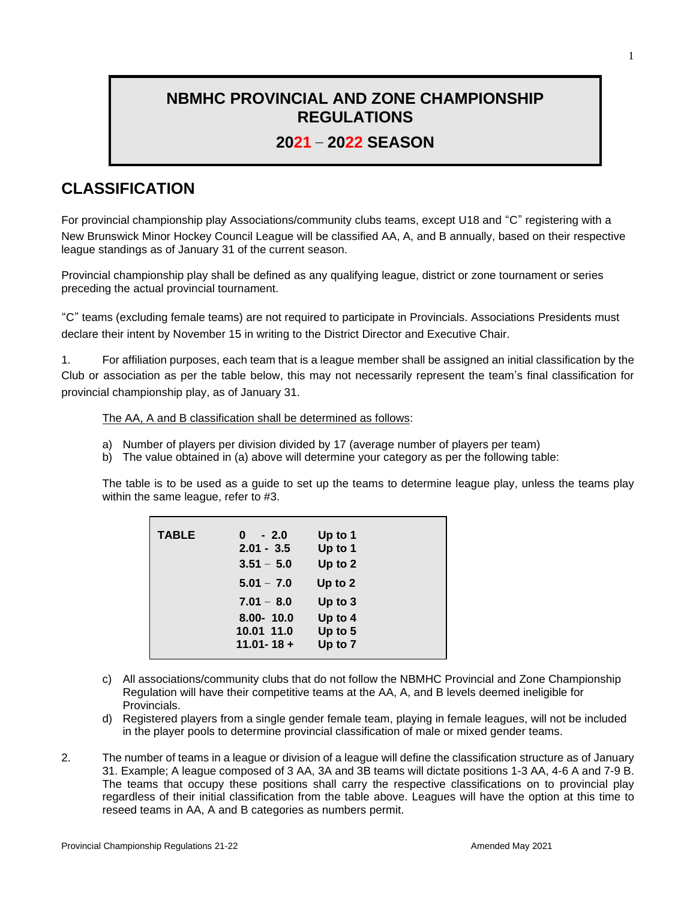### **NBMHC PROVINCIAL AND ZONE CHAMPIONSHIP REGULATIONS**

### **2021 – 2022 SEASON**

# **CLASSIFICATION**

For provincial championship play Associations/community clubs teams, except U18 and "C" registering with a New Brunswick Minor Hockey Council League will be classified AA, A, and B annually, based on their respective league standings as of January 31 of the current season.

Provincial championship play shall be defined as any qualifying league, district or zone tournament or series preceding the actual provincial tournament.

"C" teams (excluding female teams) are not required to participate in Provincials. Associations Presidents must declare their intent by November 15 in writing to the District Director and Executive Chair.

1. For affiliation purposes, each team that is a league member shall be assigned an initial classification by the Club or association as per the table below, this may not necessarily represent the team's final classification for provincial championship play, as of January 31.

### The AA, A and B classification shall be determined as follows:

- a) Number of players per division divided by 17 (average number of players per team)
- b) The value obtained in (a) above will determine your category as per the following table:

The table is to be used as a guide to set up the teams to determine league play, unless the teams play within the same league, refer to #3.

| <b>TABLE</b> | $-2.0$<br>0    | Up to 1   |
|--------------|----------------|-----------|
|              | $2.01 - 3.5$   | Up to 1   |
|              | $3.51 - 5.0$   | Up to 2   |
|              | $5.01 - 7.0$   | Up to 2   |
|              | $7.01 - 8.0$   | Up to $3$ |
|              | $8.00 - 10.0$  | Up to 4   |
|              | 10.01 11.0     | Up to 5   |
|              | $11.01 - 18 +$ | Up to 7   |
|              |                |           |

- c) All associations/community clubs that do not follow the NBMHC Provincial and Zone Championship Regulation will have their competitive teams at the AA, A, and B levels deemed ineligible for Provincials.
- d) Registered players from a single gender female team, playing in female leagues, will not be included in the player pools to determine provincial classification of male or mixed gender teams.
- 2. The number of teams in a league or division of a league will define the classification structure as of January 31. Example; A league composed of 3 AA, 3A and 3B teams will dictate positions 1-3 AA, 4-6 A and 7-9 B. The teams that occupy these positions shall carry the respective classifications on to provincial play regardless of their initial classification from the table above. Leagues will have the option at this time to reseed teams in AA, A and B categories as numbers permit.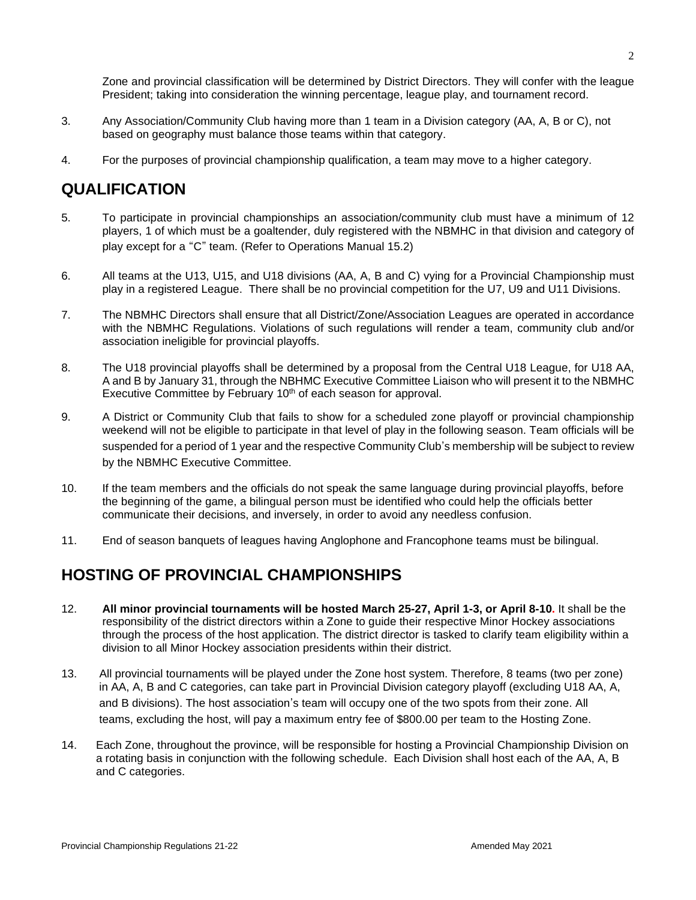Zone and provincial classification will be determined by District Directors. They will confer with the league President; taking into consideration the winning percentage, league play, and tournament record.

- 3. Any Association/Community Club having more than 1 team in a Division category (AA, A, B or C), not based on geography must balance those teams within that category.
- 4. For the purposes of provincial championship qualification, a team may move to a higher category.

## **QUALIFICATION**

- 5. To participate in provincial championships an association/community club must have a minimum of 12 players, 1 of which must be a goaltender, duly registered with the NBMHC in that division and category of play except for a "C" team. (Refer to Operations Manual 15.2)
- 6. All teams at the U13, U15, and U18 divisions (AA, A, B and C) vying for a Provincial Championship must play in a registered League. There shall be no provincial competition for the U7, U9 and U11 Divisions.
- 7. The NBMHC Directors shall ensure that all District/Zone/Association Leagues are operated in accordance with the NBMHC Regulations. Violations of such regulations will render a team, community club and/or association ineligible for provincial playoffs.
- 8. The U18 provincial playoffs shall be determined by a proposal from the Central U18 League, for U18 AA, A and B by January 31, through the NBHMC Executive Committee Liaison who will present it to the NBMHC Executive Committee by February 10<sup>th</sup> of each season for approval.
- 9. A District or Community Club that fails to show for a scheduled zone playoff or provincial championship weekend will not be eligible to participate in that level of play in the following season. Team officials will be suspended for a period of 1 year and the respective Community Club's membership will be subject to review by the NBMHC Executive Committee.
- 10. If the team members and the officials do not speak the same language during provincial playoffs, before the beginning of the game, a bilingual person must be identified who could help the officials better communicate their decisions, and inversely, in order to avoid any needless confusion.
- 11. End of season banquets of leagues having Anglophone and Francophone teams must be bilingual.

## **HOSTING OF PROVINCIAL CHAMPIONSHIPS**

- 12. **All minor provincial tournaments will be hosted March 25-27, April 1-3, or April 8-10.** It shall be the responsibility of the district directors within a Zone to guide their respective Minor Hockey associations through the process of the host application. The district director is tasked to clarify team eligibility within a division to all Minor Hockey association presidents within their district.
- 13. All provincial tournaments will be played under the Zone host system. Therefore, 8 teams (two per zone) in AA, A, B and C categories, can take part in Provincial Division category playoff (excluding U18 AA, A, and B divisions). The host association's team will occupy one of the two spots from their zone. All teams, excluding the host, will pay a maximum entry fee of \$800.00 per team to the Hosting Zone.
- 14. Each Zone, throughout the province, will be responsible for hosting a Provincial Championship Division on a rotating basis in conjunction with the following schedule. Each Division shall host each of the AA, A, B and C categories.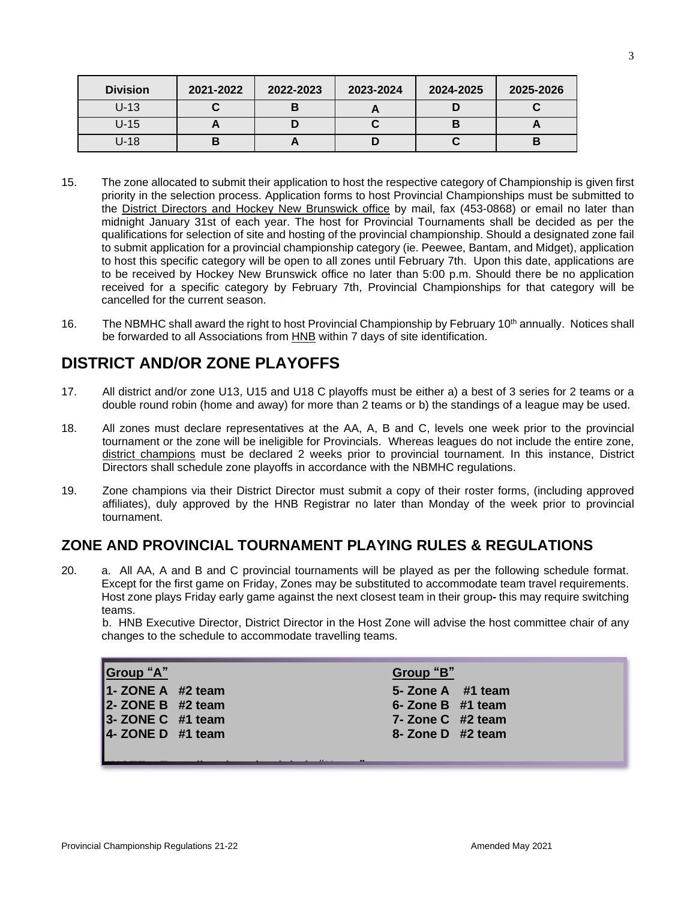| <b>Division</b> | 2021-2022 | 2022-2023 | 2023-2024 | 2024-2025 | 2025-2026 |
|-----------------|-----------|-----------|-----------|-----------|-----------|
| $U-13$          |           |           |           |           |           |
| $U-15$          |           |           |           |           |           |
| $U-18$          | В         |           |           |           |           |

- 15. The zone allocated to submit their application to host the respective category of Championship is given first priority in the selection process. Application forms to host Provincial Championships must be submitted to the District Directors and Hockey New Brunswick office by mail, fax (453-0868) or email no later than midnight January 31st of each year. The host for Provincial Tournaments shall be decided as per the qualifications for selection of site and hosting of the provincial championship. Should a designated zone fail to submit application for a provincial championship category (ie. Peewee, Bantam, and Midget), application to host this specific category will be open to all zones until February 7th. Upon this date, applications are to be received by Hockey New Brunswick office no later than 5:00 p.m. Should there be no application received for a specific category by February 7th, Provincial Championships for that category will be cancelled for the current season.
- 16. The NBMHC shall award the right to host Provincial Championship by February 10th annually. Notices shall be forwarded to all Associations from HNB within 7 days of site identification.

### **DISTRICT AND/OR ZONE PLAYOFFS**

- 17. All district and/or zone U13, U15 and U18 C playoffs must be either a) a best of 3 series for 2 teams or a double round robin (home and away) for more than 2 teams or b) the standings of a league may be used.
- 18. All zones must declare representatives at the AA, A, B and C, levels one week prior to the provincial tournament or the zone will be ineligible for Provincials. Whereas leagues do not include the entire zone, district champions must be declared 2 weeks prior to provincial tournament. In this instance, District Directors shall schedule zone playoffs in accordance with the NBMHC regulations.
- 19. Zone champions via their District Director must submit a copy of their roster forms, (including approved affiliates), duly approved by the HNB Registrar no later than Monday of the week prior to provincial tournament.

### **ZONE AND PROVINCIAL TOURNAMENT PLAYING RULES & REGULATIONS**

20. a. All AA, A and B and C provincial tournaments will be played as per the following schedule format. Except for the first game on Friday, Zones may be substituted to accommodate team travel requirements. Host zone plays Friday early game against the next closest team in their group**-** this may require switching teams.

b. HNB Executive Director, District Director in the Host Zone will advise the host committee chair of any changes to the schedule to accommodate travelling teams.

| Group "A"<br>1-ZONE A #2 team<br>2- ZONE B #2 team<br>3- ZONE C #1 team<br>4-ZONE D #1 team | Group "B"<br>5- Zone A #1 team<br>6- Zone B $#1$ team<br>7- Zone C #2 team<br>8- Zone D #2 team |
|---------------------------------------------------------------------------------------------|-------------------------------------------------------------------------------------------------|
|                                                                                             |                                                                                                 |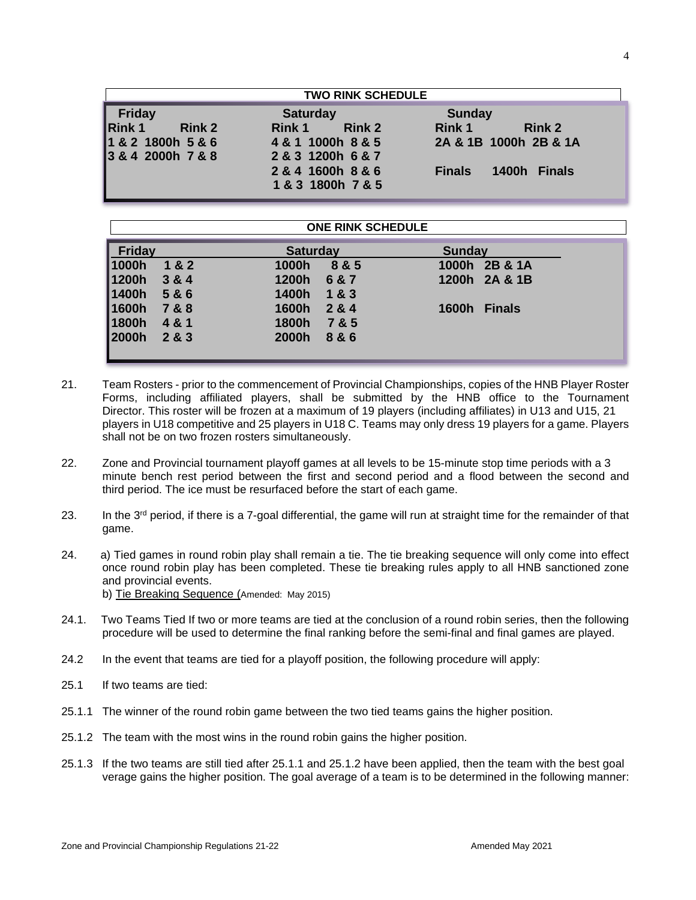| <b>TWO RINK SCHEDULE</b>       |                         |                                |  |
|--------------------------------|-------------------------|--------------------------------|--|
| <b>Friday</b>                  | <b>Saturday</b>         | <b>Sunday</b>                  |  |
| <b>Rink 1</b><br><b>Rink 2</b> | <b>Rink 2</b><br>Rink 1 | <b>Rink 1</b><br><b>Rink 2</b> |  |
| 1 & 2 1800h 5 & 6              | 4 & 1 1000h 8 & 5       | 2A & 1B 1000h 2B & 1A          |  |
| 3 & 4 2000h 7 & 8              | 2 & 3 1200h 6 & 7       |                                |  |
|                                | 2 & 4 1600h 8 & 6       | 1400h Finals<br><b>Finals</b>  |  |
|                                | 1 & 3 1800h 7 & 5       |                                |  |

### **ONE RINK SCHEDULE**

| $\mathsf{Friday}$ |           | <b>Saturday</b> |             | <b>Sunday</b> |               |
|-------------------|-----------|-----------------|-------------|---------------|---------------|
| 1000h             | 1&2       | 1000h           | 8 & 5       |               | 1000h 2B & 1A |
| 1200h             | 3 & 8 & 4 |                 | 1200h 6 & 7 |               | 1200h 2A & 1B |
| 1400h             | 5&6       | 1400h           | 183         |               |               |
| 1600h             | 7&8       | 1600h           | 2 & 4       | 1600h Finals  |               |
| 1800h             | 4&1       | 1800h           | 7&5         |               |               |
| $ 2000h \t283$    |           |                 | 2000h 8 & 6 |               |               |
|                   |           |                 |             |               |               |

- 21. Team Rosters prior to the commencement of Provincial Championships, copies of the HNB Player Roster Forms, including affiliated players, shall be submitted by the HNB office to the Tournament Director. This roster will be frozen at a maximum of 19 players (including affiliates) in U13 and U15, 21 players in U18 competitive and 25 players in U18 C. Teams may only dress 19 players for a game. Players shall not be on two frozen rosters simultaneously.
- 22. Zone and Provincial tournament playoff games at all levels to be 15-minute stop time periods with a 3 minute bench rest period between the first and second period and a flood between the second and third period. The ice must be resurfaced before the start of each game.
- 23. In the 3<sup>rd</sup> period, if there is a 7-goal differential, the game will run at straight time for the remainder of that game.
- 24. a) Tied games in round robin play shall remain a tie. The tie breaking sequence will only come into effect once round robin play has been completed. These tie breaking rules apply to all HNB sanctioned zone and provincial events. b) Tie Breaking Sequence (Amended: May 2015)
- 24.1. Two Teams Tied If two or more teams are tied at the conclusion of a round robin series, then the following procedure will be used to determine the final ranking before the semi-final and final games are played.
- 24.2 In the event that teams are tied for a playoff position, the following procedure will apply:
- 25.1 If two teams are tied:
- 25.1.1 The winner of the round robin game between the two tied teams gains the higher position.
- 25.1.2 The team with the most wins in the round robin gains the higher position.
- 25.1.3 If the two teams are still tied after 25.1.1 and 25.1.2 have been applied, then the team with the best goal verage gains the higher position. The goal average of a team is to be determined in the following manner: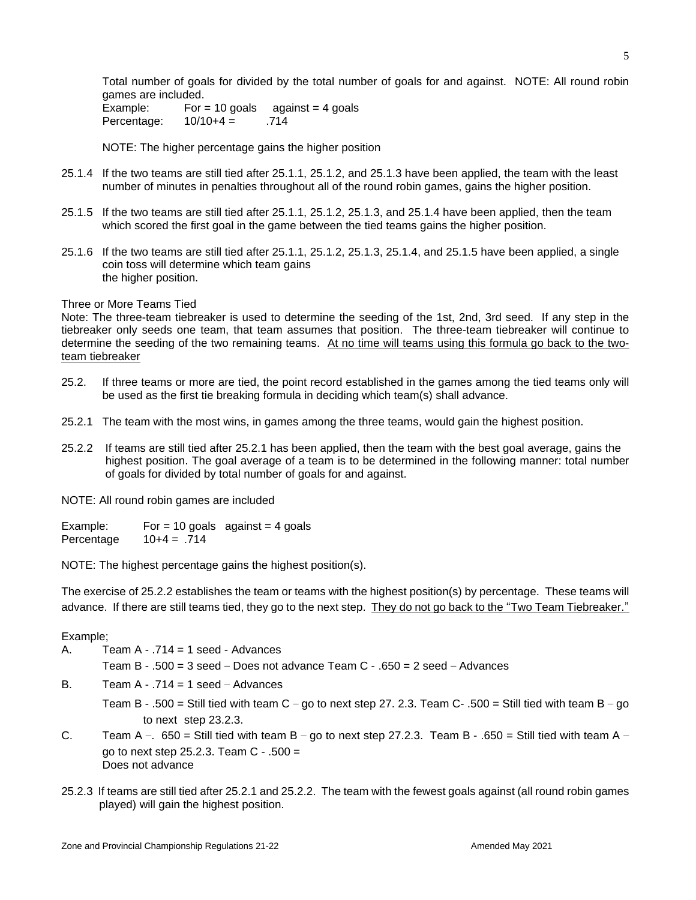Total number of goals for divided by the total number of goals for and against. NOTE: All round robin games are included.

Example: For = 10 goals  $a$  against = 4 goals Percentage: 10/10+4 = .714

NOTE: The higher percentage gains the higher position

- 25.1.4 If the two teams are still tied after 25.1.1, 25.1.2, and 25.1.3 have been applied, the team with the least number of minutes in penalties throughout all of the round robin games, gains the higher position.
- 25.1.5 If the two teams are still tied after 25.1.1, 25.1.2, 25.1.3, and 25.1.4 have been applied, then the team which scored the first goal in the game between the tied teams gains the higher position.
- 25.1.6 If the two teams are still tied after 25.1.1, 25.1.2, 25.1.3, 25.1.4, and 25.1.5 have been applied, a single coin toss will determine which team gains the higher position.

#### Three or More Teams Tied

Note: The three-team tiebreaker is used to determine the seeding of the 1st, 2nd, 3rd seed. If any step in the tiebreaker only seeds one team, that team assumes that position. The three-team tiebreaker will continue to determine the seeding of the two remaining teams. At no time will teams using this formula go back to the twoteam tiebreaker

- 25.2. If three teams or more are tied, the point record established in the games among the tied teams only will be used as the first tie breaking formula in deciding which team(s) shall advance.
- 25.2.1 The team with the most wins, in games among the three teams, would gain the highest position.
- 25.2.2 If teams are still tied after 25.2.1 has been applied, then the team with the best goal average, gains the highest position. The goal average of a team is to be determined in the following manner: total number of goals for divided by total number of goals for and against.

NOTE: All round robin games are included

Example: For = 10 goals  $a$  against = 4 goals Percentage 10+4 = .714

NOTE: The highest percentage gains the highest position(s).

The exercise of 25.2.2 establishes the team or teams with the highest position(s) by percentage. These teams will advance. If there are still teams tied, they go to the next step. They do not go back to the "Two Team Tiebreaker."

#### Example;

A. Team  $A - 714 = 1$  seed - Advances

Team B  $-$  .500 = 3 seed – Does not advance Team C  $-$  .650 = 2 seed – Advances

- B. Team  $A 714 = 1$  seed Advances
	- Team B .500 = Still tied with team C go to next step 27. 2.3. Team C- .500 = Still tied with team B go to next step 23.2.3.
- C. Team A –.  $650 =$  Still tied with team B go to next step 27.2.3. Team B .650 = Still tied with team A go to next step 25.2.3. Team C - .500 = Does not advance
- 25.2.3 If teams are still tied after 25.2.1 and 25.2.2. The team with the fewest goals against (all round robin games played) will gain the highest position.